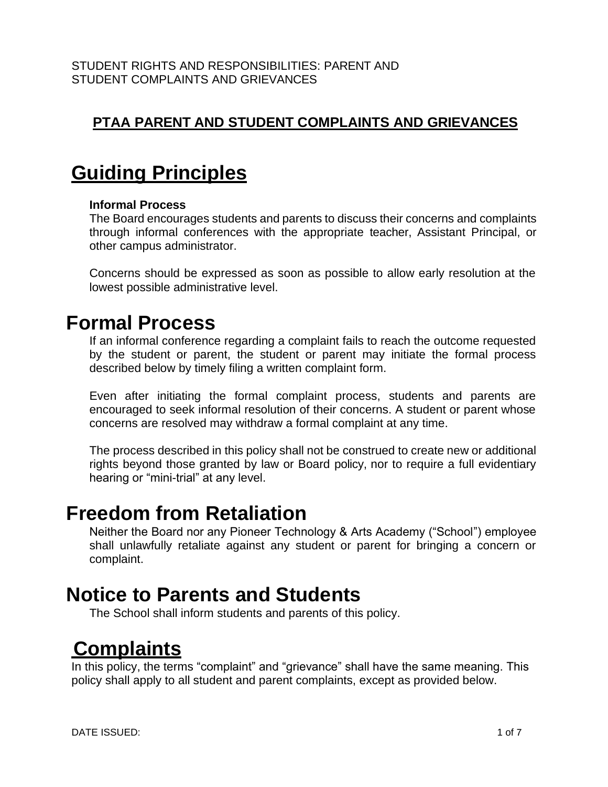### **PTAA PARENT AND STUDENT COMPLAINTS AND GRIEVANCES**

## **Guiding Principles**

#### **Informal Process**

The Board encourages students and parents to discuss their concerns and complaints through informal conferences with the appropriate teacher, Assistant Principal, or other campus administrator.

Concerns should be expressed as soon as possible to allow early resolution at the lowest possible administrative level.

### **Formal Process**

If an informal conference regarding a complaint fails to reach the outcome requested by the student or parent, the student or parent may initiate the formal process described below by timely filing a written complaint form.

Even after initiating the formal complaint process, students and parents are encouraged to seek informal resolution of their concerns. A student or parent whose concerns are resolved may withdraw a formal complaint at any time.

The process described in this policy shall not be construed to create new or additional rights beyond those granted by law or Board policy, nor to require a full evidentiary hearing or "mini-trial" at any level.

### **Freedom from Retaliation**

Neither the Board nor any Pioneer Technology & Arts Academy ("School") employee shall unlawfully retaliate against any student or parent for bringing a concern or complaint.

### **Notice to Parents and Students**

The School shall inform students and parents of this policy.

## **Complaints**

In this policy, the terms "complaint" and "grievance" shall have the same meaning. This policy shall apply to all student and parent complaints, except as provided below.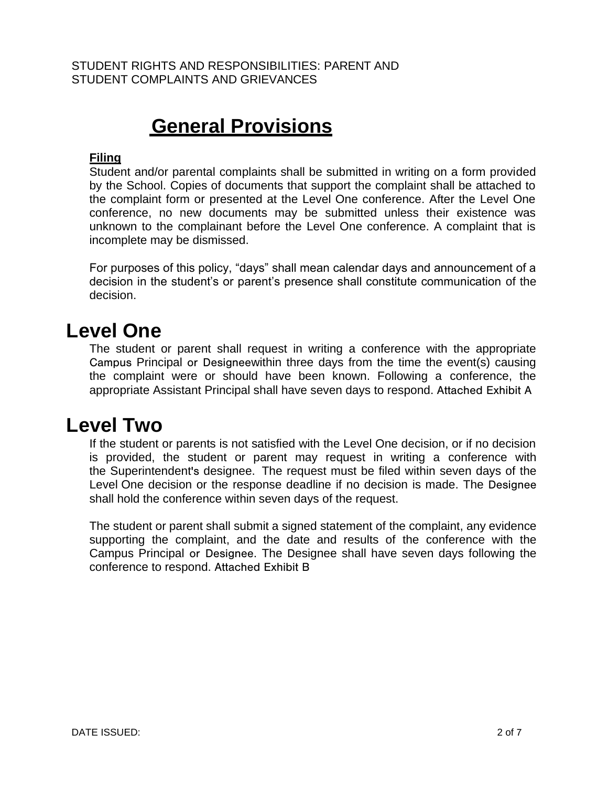## **General Provisions**

### **Filing**

Student and/or parental complaints shall be submitted in writing on a form provided by the School. Copies of documents that support the complaint shall be attached to the complaint form or presented at the Level One conference. After the Level One conference, no new documents may be submitted unless their existence was unknown to the complainant before the Level One conference. A complaint that is incomplete may be dismissed.

For purposes of this policy, "days" shall mean calendar days and announcement of a decision in the student's or parent's presence shall constitute communication of the decision.

### **Level One**

The student or parent shall request in writing a conference with the appropriate Campus Principal or Designeewithin three days from the time the event(s) causing the complaint were or should have been known. Following a conference, the appropriate Assistant Principal shall have seven days to respond. Attached Exhibit A

### **Level Two**

If the student or parents is not satisfied with the Level One decision, or if no decision is provided, the student or parent may request in writing a conference with the Superintendent's designee. The request must be filed within seven days of the Level One decision or the response deadline if no decision is made. The Designee shall hold the conference within seven days of the request.

The student or parent shall submit a signed statement of the complaint, any evidence supporting the complaint, and the date and results of the conference with the Campus Principal or Designee. The Designee shall have seven days following the conference to respond. Attached Exhibit B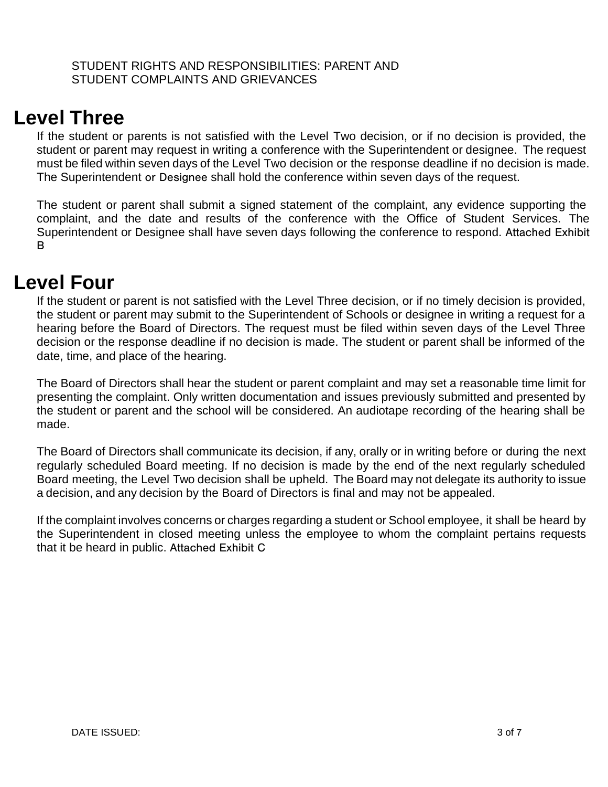### **Level Three**

If the student or parents is not satisfied with the Level Two decision, or if no decision is provided, the student or parent may request in writing a conference with the Superintendent or designee. The request must be filed within seven days of the Level Two decision or the response deadline if no decision is made. The Superintendent or Designee shall hold the conference within seven days of the request.

The student or parent shall submit a signed statement of the complaint, any evidence supporting the complaint, and the date and results of the conference with the Office of Student Services. The Superintendent or Designee shall have seven days following the conference to respond. Attached Exhibit B

### **Level Four**

If the student or parent is not satisfied with the Level Three decision, or if no timely decision is provided, the student or parent may submit to the Superintendent of Schools or designee in writing a request for a hearing before the Board of Directors. The request must be filed within seven days of the Level Three decision or the response deadline if no decision is made. The student or parent shall be informed of the date, time, and place of the hearing.

The Board of Directors shall hear the student or parent complaint and may set a reasonable time limit for presenting the complaint. Only written documentation and issues previously submitted and presented by the student or parent and the school will be considered. An audiotape recording of the hearing shall be made.

The Board of Directors shall communicate its decision, if any, orally or in writing before or during the next regularly scheduled Board meeting. If no decision is made by the end of the next regularly scheduled Board meeting, the Level Two decision shall be upheld. The Board may not delegate its authority to issue a decision, and any decision by the Board of Directors is final and may not be appealed.

If the complaint involves concerns or charges regarding a student or School employee, it shall be heard by the Superintendent in closed meeting unless the employee to whom the complaint pertains requests that it be heard in public. Attached Exhibit C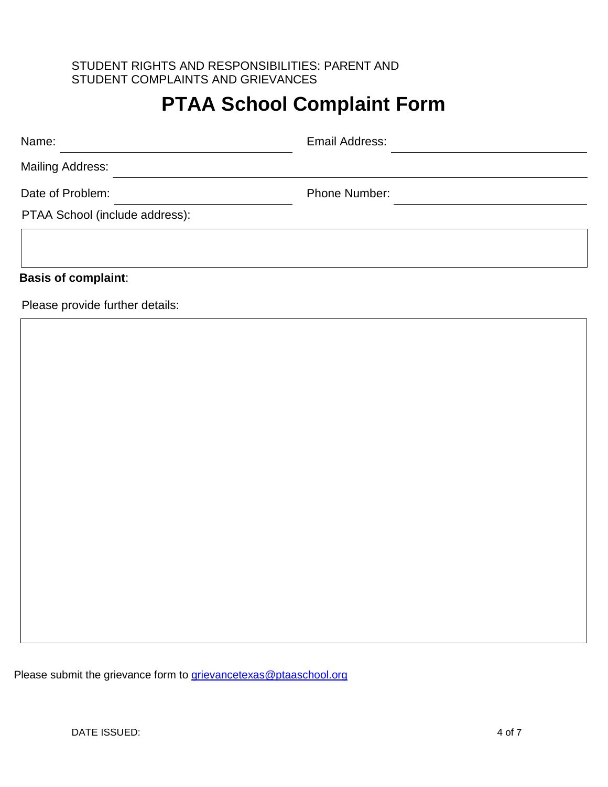# **PTAA School Complaint Form**

| Name:                          | Email Address:       |  |
|--------------------------------|----------------------|--|
| <b>Mailing Address:</b>        |                      |  |
| Date of Problem:               | <b>Phone Number:</b> |  |
| PTAA School (include address): |                      |  |
|                                |                      |  |
|                                |                      |  |

### **Basis of complaint**:

Please provide further details:

Please submit the grievance form to [grievancetexas@ptaaschool.org](mailto:grievancetexas@ptaaschool.org)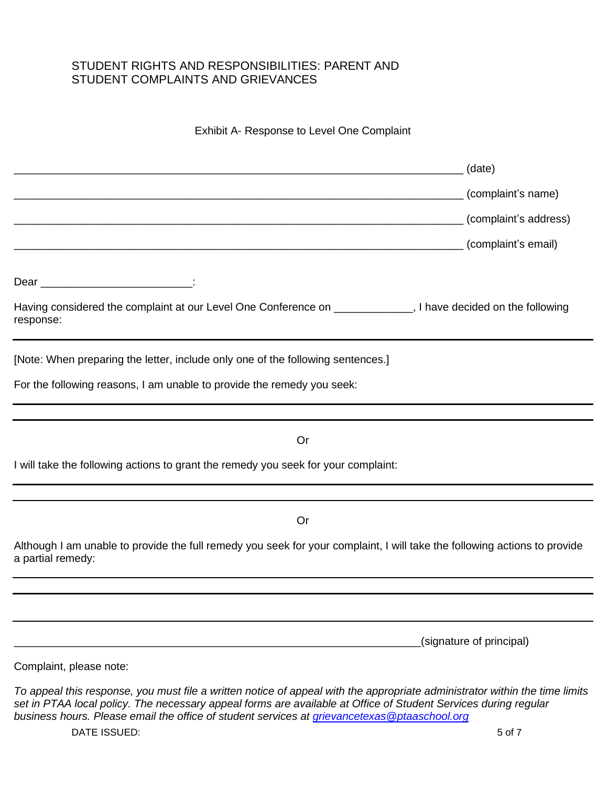#### Exhibit A- Response to Level One Complaint

|                                                                                                                                                                                                                                                | (date)<br>(complaint's name) |
|------------------------------------------------------------------------------------------------------------------------------------------------------------------------------------------------------------------------------------------------|------------------------------|
|                                                                                                                                                                                                                                                | (complaint's address)        |
|                                                                                                                                                                                                                                                | (complaint's email)          |
|                                                                                                                                                                                                                                                |                              |
| Having considered the complaint at our Level One Conference on ____________, I have decided on the following<br>response:                                                                                                                      |                              |
| [Note: When preparing the letter, include only one of the following sentences.]                                                                                                                                                                |                              |
| For the following reasons, I am unable to provide the remedy you seek:                                                                                                                                                                         |                              |
| Or                                                                                                                                                                                                                                             |                              |
| I will take the following actions to grant the remedy you seek for your complaint:                                                                                                                                                             |                              |
| Or                                                                                                                                                                                                                                             |                              |
| Although I am unable to provide the full remedy you seek for your complaint, I will take the following actions to provide<br>a partial remedy:                                                                                                 |                              |
|                                                                                                                                                                                                                                                |                              |
|                                                                                                                                                                                                                                                | (signature of principal)     |
| Complaint, please note:                                                                                                                                                                                                                        |                              |
| To appeal this response, you must file a written notice of appeal with the appropriate administrator within the time limits<br>set in PTAA local policy. The necessary appeal forms are available at Office of Student Services during regular |                              |

*business hours. Please email the office of student services at [grievancetexas@ptaaschool.org](mailto:grievancetexas@ptaaschool.org)*

DATE ISSUED: 5 of 7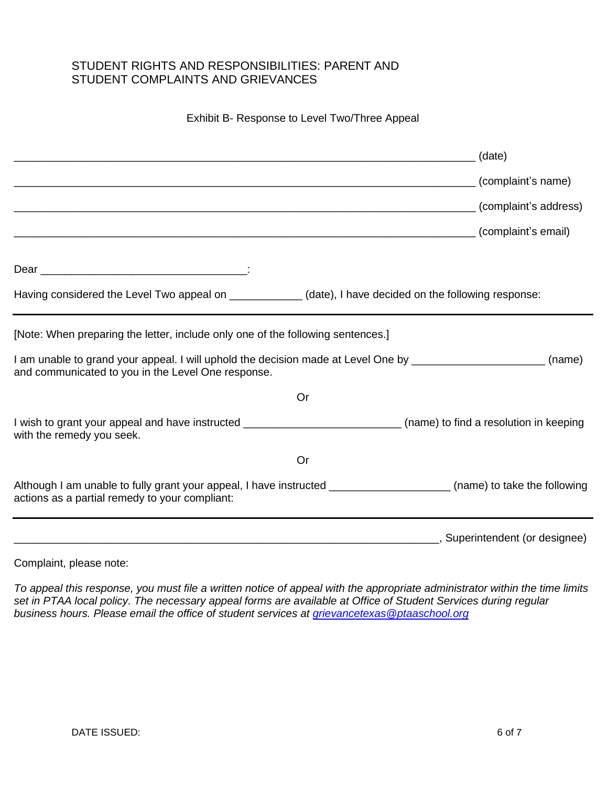#### Exhibit B- Response to Level Two/Three Appeal

|                                                                                                                                                                        |    | (date)                              |
|------------------------------------------------------------------------------------------------------------------------------------------------------------------------|----|-------------------------------------|
|                                                                                                                                                                        |    | (complaint's name)                  |
|                                                                                                                                                                        |    | (complaint's address)               |
|                                                                                                                                                                        |    | (complaint's email)                 |
|                                                                                                                                                                        |    |                                     |
| Having considered the Level Two appeal on ____________(date), I have decided on the following response:                                                                |    |                                     |
| [Note: When preparing the letter, include only one of the following sentences.]                                                                                        |    |                                     |
| I am unable to grand your appeal. I will uphold the decision made at Level One by ___________________________<br>and communicated to you in the Level One response.    |    | (name)                              |
|                                                                                                                                                                        | Or |                                     |
| I wish to grant your appeal and have instructed _______________________________(name) to find a resolution in keeping<br>with the remedy you seek.                     |    |                                     |
|                                                                                                                                                                        | Or |                                     |
| Although I am unable to fully grant your appeal, I have instructed _____________________(name) to take the following<br>actions as a partial remedy to your compliant: |    |                                     |
|                                                                                                                                                                        |    | _____, Superintendent (or designee) |

Complaint, please note:

*To appeal this response, you must file a written notice of appeal with the appropriate administrator within the time limits set in PTAA local policy. The necessary appeal forms are available at Office of Student Services during regular business hours. Please email the office of student services at [grievancetexas@ptaaschool.org](mailto:grievancetexas@ptaaschool.org)*